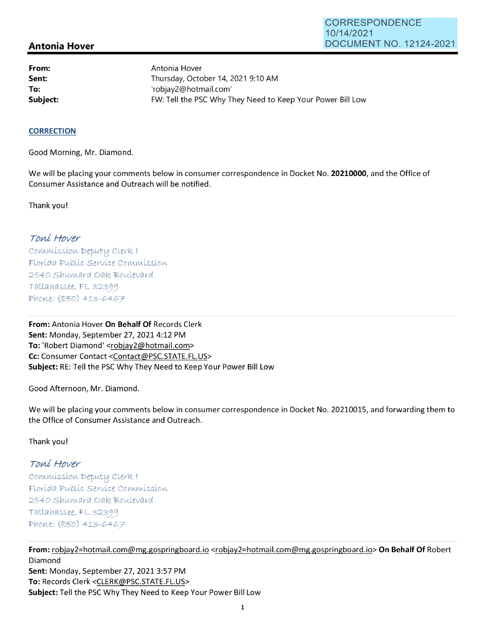## **Antonia Hover**

**From: Sent: To:** 

Antonia Hover Thursday, October 14, 2021 9:10 **AM**  'robjay2@hotmail.com' **Subject: EXALG:** FW: Tell the PSC Why They Need to Keep Your Power Bill Low

#### **CORRECTION**

Good Morning, Mr. Diamond.

We will be placing your comments below in consumer correspondence in Docket No. **20210000,** and the Office of Consumer Assistance and Outreach will be notified.

Thank you!

## Toní Hover

Commission Deputy Clerk 1 Florída Publíc Service Commission 2540 Shumard Oak Boulevard  $Tallahasse, FL 32399$ Phone: (850) 413-6467

**From:** Antonia Hover **On Behalf Of** Records Clerk **Sent:** Monday, September 27, 2021 4:12 PM **To:** 'Robert Diamond' <robjay2@hotmail.com> **Cc:** Consumer Contact <Contact@PSC.STATE.FL.US> **Subject:** RE: Tell the PSC Why They Need to Keep Your Power Bill Low

Good Afternoon, Mr. Diamond.

We will be placing your comments below in consumer correspondence in Docket No. 20210015, and forwarding them to the Office of Consumer Assistance and Outreach.

Thank you!

# Toní Hover

 $Commission$  Deputy Clerk I Florída Publíc Servíce Commission 2540 Shumard Oak Boulevard  $Tallahasse, FL 32399$ Phone: (850) 413-6467

**From:** robjay2=hotmail.com@mg.gospringboard.io <robjay2=hotmail.com@mg.gospringboard.io> **On Behalf Of** Robert Diamond **Sent:** Monday, September 27, 2021 3:57 PM **To:** Records Clerk <CLERK@PSC.STATE.FL.US> **Subject:** Tell the PSC Why They Need to Keep Your Power Bill Low